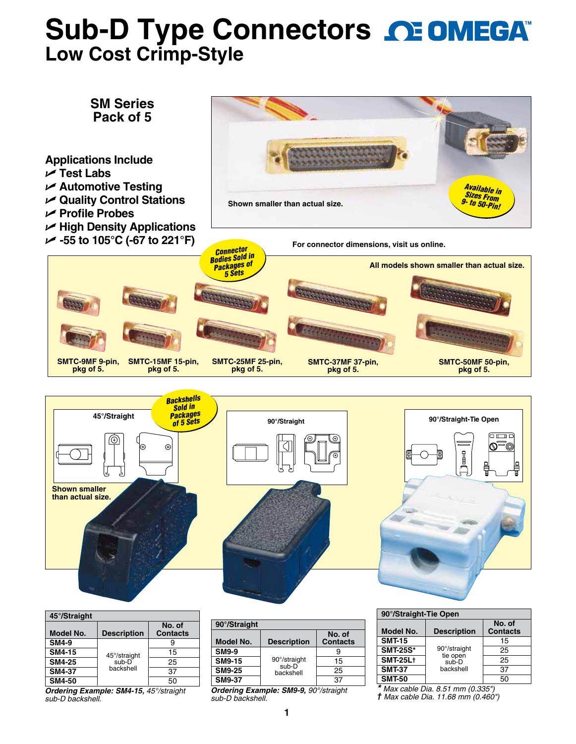# **Sub-D Type Connectors CE OMEGAT Low Cost Crimp-Style**



*Ordering Example: SM4-15, 45°/straight sub-D backshell.*

*Ordering Example: SM9-9, 90°/straight sub-D backshell.*

*\* Max cable Dia. 8.51 mm (0.335") † Max cable Dia. 11.68 mm (0.460")*